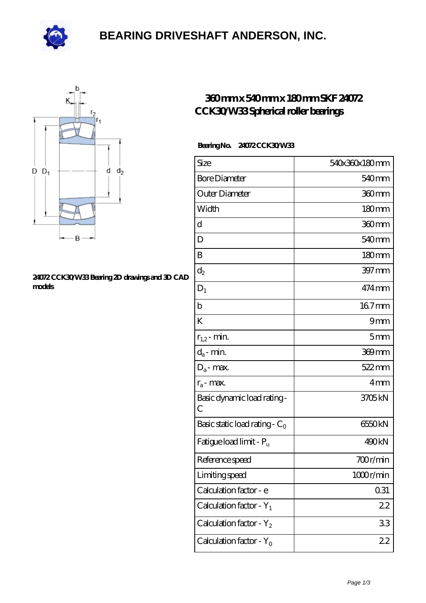

### **[BEARING DRIVESHAFT ANDERSON, INC.](https://deadmanspartythemovie.com)**



#### **[24072 CCK30/W33 Bearing 2D drawings and 3D CAD](https://deadmanspartythemovie.com/pic-509434.html) [models](https://deadmanspartythemovie.com/pic-509434.html)**

### **[360 mm x 540 mm x 180 mm SKF 24072](https://deadmanspartythemovie.com/skf-24072-cck30-w33-bearing/) [CCK30/W33 Spherical roller bearings](https://deadmanspartythemovie.com/skf-24072-cck30-w33-bearing/)**

#### **Bearing No. 24072 CCK30/W33**

| Size                                | 540x360x180mm       |
|-------------------------------------|---------------------|
| <b>Bore Diameter</b>                | 540 <sub>mm</sub>   |
| Outer Diameter                      | 360mm               |
| Width                               | 180mm               |
| d                                   | 360 <sub>mm</sub>   |
| D                                   | 540 <sub>mm</sub>   |
| B                                   | 180 <sub>mm</sub>   |
| $\mathrm{d}_2$                      | $397 \,\mathrm{mm}$ |
| $D_1$                               | 474 mm              |
| $\mathbf b$                         | 167mm               |
| K                                   | 9mm                 |
| $r_{1,2}$ - min.                    | 5mm                 |
| $d_a$ - min.                        | 369mm               |
| $D_a$ - max.                        | $522$ <sub>mm</sub> |
| $r_a$ - max.                        | 4mm                 |
| Basic dynamic load rating-<br>С     | 3705kN              |
| Basic static load rating - $C_0$    | 6550kN              |
| Fatigue load limit - P <sub>u</sub> | 490kN               |
| Reference speed                     | 700r/min            |
| Limiting speed                      | 1000r/min           |
| Calculation factor - e              | 0.31                |
| Calculation factor - $Y_1$          | 22                  |
| Calculation factor - $Y_2$          | 33                  |
| Calculation factor - $Y_0$          | 22                  |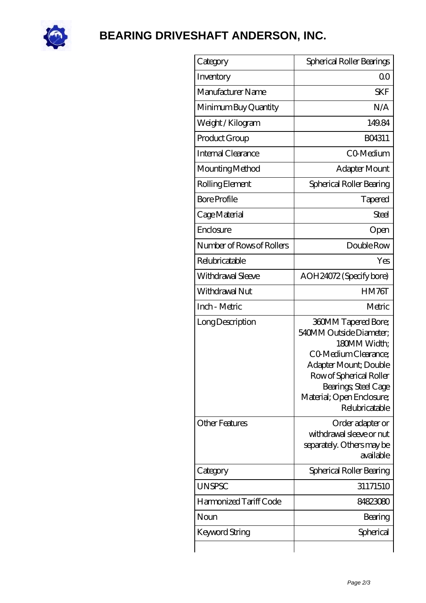

# **[BEARING DRIVESHAFT ANDERSON, INC.](https://deadmanspartythemovie.com)**

| Category                  | Spherical Roller Bearings                                                                                                                                                                                                |
|---------------------------|--------------------------------------------------------------------------------------------------------------------------------------------------------------------------------------------------------------------------|
| Inventory                 | Q0                                                                                                                                                                                                                       |
| Manufacturer Name         | <b>SKF</b>                                                                                                                                                                                                               |
| Minimum Buy Quantity      | N/A                                                                                                                                                                                                                      |
| Weight /Kilogram          | 149.84                                                                                                                                                                                                                   |
| Product Group             | BO4311                                                                                                                                                                                                                   |
| Internal Clearance        | CO-Medium                                                                                                                                                                                                                |
| Mounting Method           | Adapter Mount                                                                                                                                                                                                            |
| Rolling Element           | Spherical Roller Bearing                                                                                                                                                                                                 |
| <b>Bore Profile</b>       | Tapered                                                                                                                                                                                                                  |
| Cage Material             | Steel                                                                                                                                                                                                                    |
| Enclosure                 | Open                                                                                                                                                                                                                     |
| Number of Rows of Rollers | Double Row                                                                                                                                                                                                               |
| Relubricatable            | Yes                                                                                                                                                                                                                      |
| Withdrawal Sleeve         | AOH24072 (Specify bore)                                                                                                                                                                                                  |
| Withdrawal Nut            | HM76T                                                                                                                                                                                                                    |
| Inch - Metric             | Metric                                                                                                                                                                                                                   |
| Long Description          | <b>360MM Tapered Bore;</b><br>540MM Outside Diameter:<br>180MM Width;<br>CO Medium Clearance;<br>Adapter Mount; Double<br>Row of Spherical Roller<br>Bearings; Steel Cage<br>Material; Open Enclosure;<br>Relubricatable |
| <b>Other Features</b>     | Order adapter or<br>withdrawal sleeve or nut<br>separately. Others may be<br>available                                                                                                                                   |
| Category                  | Spherical Roller Bearing                                                                                                                                                                                                 |
| <b>UNSPSC</b>             | 31171510                                                                                                                                                                                                                 |
| Harmonized Tariff Code    | 84823080                                                                                                                                                                                                                 |
| Noun                      | Bearing                                                                                                                                                                                                                  |
| Keyword String            | Spherical                                                                                                                                                                                                                |
|                           |                                                                                                                                                                                                                          |